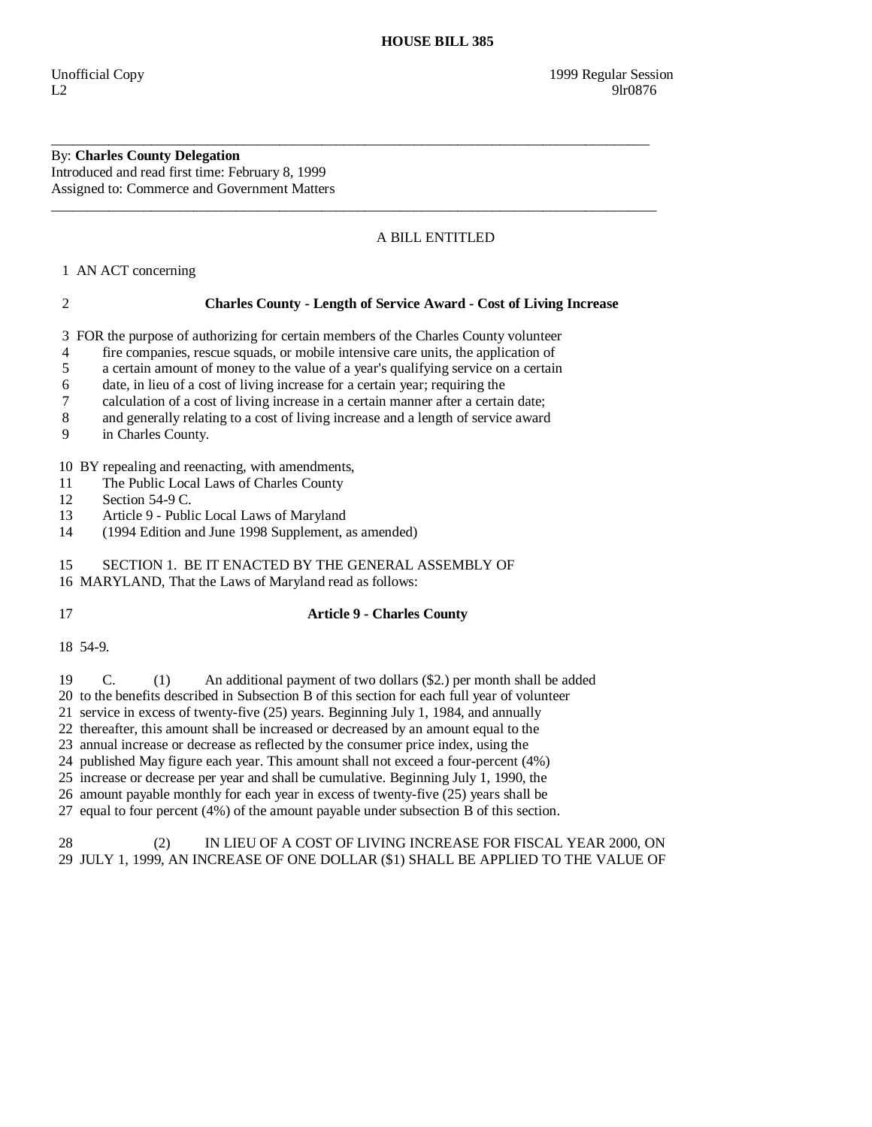#### By: **Charles County Delegation**  Introduced and read first time: February 8, 1999 Assigned to: Commerce and Government Matters

# A BILL ENTITLED

1 AN ACT concerning

## 2 **Charles County - Length of Service Award - Cost of Living Increase**

3 FOR the purpose of authorizing for certain members of the Charles County volunteer

\_\_\_\_\_\_\_\_\_\_\_\_\_\_\_\_\_\_\_\_\_\_\_\_\_\_\_\_\_\_\_\_\_\_\_\_\_\_\_\_\_\_\_\_\_\_\_\_\_\_\_\_\_\_\_\_\_\_\_\_\_\_\_\_\_\_\_\_\_\_\_\_\_\_\_\_\_\_\_\_\_\_\_\_

 $\overline{\phantom{a}}$  ,  $\overline{\phantom{a}}$  ,  $\overline{\phantom{a}}$  ,  $\overline{\phantom{a}}$  ,  $\overline{\phantom{a}}$  ,  $\overline{\phantom{a}}$  ,  $\overline{\phantom{a}}$  ,  $\overline{\phantom{a}}$  ,  $\overline{\phantom{a}}$  ,  $\overline{\phantom{a}}$  ,  $\overline{\phantom{a}}$  ,  $\overline{\phantom{a}}$  ,  $\overline{\phantom{a}}$  ,  $\overline{\phantom{a}}$  ,  $\overline{\phantom{a}}$  ,  $\overline{\phantom{a}}$ 

4 fire companies, rescue squads, or mobile intensive care units, the application of

5 a certain amount of money to the value of a year's qualifying service on a certain

6 date, in lieu of a cost of living increase for a certain year; requiring the

7 calculation of a cost of living increase in a certain manner after a certain date;

8 and generally relating to a cost of living increase and a length of service award

9 in Charles County.

10 BY repealing and reenacting, with amendments,

11 The Public Local Laws of Charles County

12 Section 54-9 C.

13 Article 9 - Public Local Laws of Maryland<br>14 (1994 Edition and June 1998 Supplement.

(1994 Edition and June 1998 Supplement, as amended)

15 SECTION 1. BE IT ENACTED BY THE GENERAL ASSEMBLY OF

16 MARYLAND, That the Laws of Maryland read as follows:

## 17 **Article 9 - Charles County**

18 54-9.

19 C. (1) An additional payment of two dollars (\$2.) per month shall be added

20 to the benefits described in Subsection B of this section for each full year of volunteer

21 service in excess of twenty-five (25) years. Beginning July 1, 1984, and annually

22 thereafter, this amount shall be increased or decreased by an amount equal to the

23 annual increase or decrease as reflected by the consumer price index, using the

24 published May figure each year. This amount shall not exceed a four-percent (4%)

25 increase or decrease per year and shall be cumulative. Beginning July 1, 1990, the

26 amount payable monthly for each year in excess of twenty-five (25) years shall be

27 equal to four percent (4%) of the amount payable under subsection B of this section.

### 28 (2) IN LIEU OF A COST OF LIVING INCREASE FOR FISCAL YEAR 2000, ON 29 JULY 1, 1999, AN INCREASE OF ONE DOLLAR (\$1) SHALL BE APPLIED TO THE VALUE OF